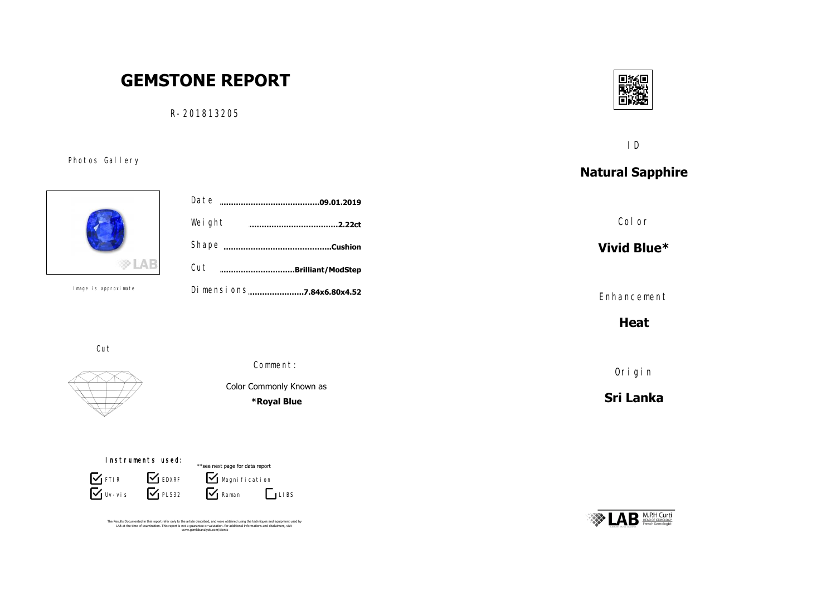# **GEMSTONE REPORT**

R-201813205



ID

## **Natural Sapphire**

Color

**Vivid Blue\***

Enhancement

**Heat**

Origin

**Sri Lanka**





Photos Gallery

Cut **………………………….Brilliant/ModStep** Dimensions......................**7.84x6.80x4.52** Shape **……………………………………..Cushion** Weight Date **……………………………………………………………….09.01.2019 ………………………………………………………………………………2.22ct**

Cut

Image is approximate





**\*Royal Blue**

 $\mathbf{V}$  Raman  $\mathbf{V}$  Magni fi cati on \*\*see next page for data report  $\Gamma$ LIBS Instruments used:  $\overline{\mathbf{V}}$  Uv-vis **S** FTIR **S** EDXRF  $\mathsf{V}_{\mathsf{P} \sqcup 532}$ 

The Results Documented in this report refer only to the article described, and were obtained using the techniques and equipment used by<br>LAB at the time of examination. This report is not a guarantee or valutation. for addi